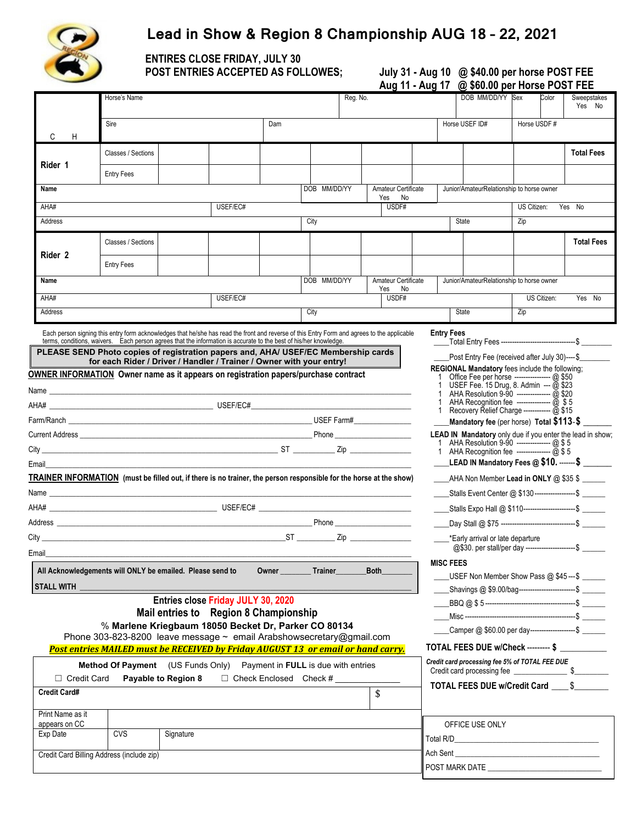

ֺ֞֝

# **Lead in Show & Region 8 Championship AUG 18 – 22, 2021**

**ENTIRES CLOSE FRIDAY, JULY 30 POST ENTRIES ACCEPTED AS FOLLOWES;** 

| July 31 - Aug 10 @ \$40.00 per horse POST FEE |
|-----------------------------------------------|
| Aug 11 - Aug 17 @ \$60.00 per Horse POST FEE  |

|                                                                                                                                                                                                                                                                                                                                                                                                                                                                                                                                                                                                                                                                                                                                         | Horse's Name                                                                                                                                                                                                                                                 |                     |                                       |  | Reg. No. |                                                           |                                                            |                                       |                | DOB MM/DD/YY Sex                                                |                                                           | Color        | Sweepstakes<br>Yes No |                   |  |
|-----------------------------------------------------------------------------------------------------------------------------------------------------------------------------------------------------------------------------------------------------------------------------------------------------------------------------------------------------------------------------------------------------------------------------------------------------------------------------------------------------------------------------------------------------------------------------------------------------------------------------------------------------------------------------------------------------------------------------------------|--------------------------------------------------------------------------------------------------------------------------------------------------------------------------------------------------------------------------------------------------------------|---------------------|---------------------------------------|--|----------|-----------------------------------------------------------|------------------------------------------------------------|---------------------------------------|----------------|-----------------------------------------------------------------|-----------------------------------------------------------|--------------|-----------------------|-------------------|--|
| C<br>H                                                                                                                                                                                                                                                                                                                                                                                                                                                                                                                                                                                                                                                                                                                                  | Sire<br>Dam                                                                                                                                                                                                                                                  |                     |                                       |  |          |                                                           |                                                            |                                       | Horse USEF ID# |                                                                 |                                                           | Horse USDF # |                       |                   |  |
|                                                                                                                                                                                                                                                                                                                                                                                                                                                                                                                                                                                                                                                                                                                                         | Classes / Sections                                                                                                                                                                                                                                           |                     |                                       |  |          |                                                           |                                                            |                                       |                |                                                                 |                                                           |              |                       | <b>Total Fees</b> |  |
| Rider 1                                                                                                                                                                                                                                                                                                                                                                                                                                                                                                                                                                                                                                                                                                                                 | <b>Entry Fees</b>                                                                                                                                                                                                                                            |                     |                                       |  |          |                                                           |                                                            |                                       |                |                                                                 |                                                           |              |                       |                   |  |
| Name                                                                                                                                                                                                                                                                                                                                                                                                                                                                                                                                                                                                                                                                                                                                    |                                                                                                                                                                                                                                                              |                     |                                       |  |          | DOB MM/DD/YY                                              |                                                            | Amateur Certificate<br>Yes<br>No.     |                |                                                                 | Junior/AmateurRelationship to horse owner                 |              |                       |                   |  |
| AHA#                                                                                                                                                                                                                                                                                                                                                                                                                                                                                                                                                                                                                                                                                                                                    |                                                                                                                                                                                                                                                              |                     | USEF/EC#                              |  |          |                                                           |                                                            | USDF#                                 |                |                                                                 |                                                           | US Citizen:  |                       | Yes No            |  |
| Address                                                                                                                                                                                                                                                                                                                                                                                                                                                                                                                                                                                                                                                                                                                                 |                                                                                                                                                                                                                                                              |                     |                                       |  |          | City                                                      |                                                            |                                       |                |                                                                 | State                                                     | Zip          |                       |                   |  |
| Rider 2                                                                                                                                                                                                                                                                                                                                                                                                                                                                                                                                                                                                                                                                                                                                 | Classes / Sections<br><b>Entry Fees</b>                                                                                                                                                                                                                      |                     |                                       |  |          |                                                           |                                                            |                                       |                |                                                                 |                                                           |              |                       | <b>Total Fees</b> |  |
| Name                                                                                                                                                                                                                                                                                                                                                                                                                                                                                                                                                                                                                                                                                                                                    |                                                                                                                                                                                                                                                              |                     |                                       |  |          | DOB MM/DD/YY                                              |                                                            | Amateur Certificate                   |                |                                                                 | Junior/AmateurRelationship to horse owner                 |              |                       |                   |  |
| AHA#                                                                                                                                                                                                                                                                                                                                                                                                                                                                                                                                                                                                                                                                                                                                    |                                                                                                                                                                                                                                                              |                     | USEF/EC#                              |  |          |                                                           |                                                            | No<br>Yes<br>USDF#                    |                | US Citizen:<br>Yes No                                           |                                                           |              |                       |                   |  |
| Address                                                                                                                                                                                                                                                                                                                                                                                                                                                                                                                                                                                                                                                                                                                                 |                                                                                                                                                                                                                                                              |                     |                                       |  |          | City                                                      |                                                            |                                       |                |                                                                 | State                                                     | Zip          |                       |                   |  |
|                                                                                                                                                                                                                                                                                                                                                                                                                                                                                                                                                                                                                                                                                                                                         |                                                                                                                                                                                                                                                              |                     |                                       |  |          |                                                           |                                                            |                                       |                |                                                                 |                                                           |              |                       |                   |  |
| Each person signing this entry form acknowledges that he/she has read the front and reverse of this Entry Form and agrees to the applicable<br><b>Entry Fees</b><br>terms, conditions, waivers. Each person agrees that the information is accurate to the best of his/her knowledge.<br>PLEASE SEND Photo copies of registration papers and, AHA/ USEF/EC Membership cards<br>Post Entry Fee (received after July 30)----\$<br>for each Rider / Driver / Handler / Trainer / Owner with your entry!<br>REGIONAL Mandatory fees include the following;<br>OWNER INFORMATION Owner name as it appears on registration papers/purchase contract<br>Office Fee per horse ---------------- @ \$50<br>USEF Fee. 15 Drug, 8. Admin --- @ \$23 |                                                                                                                                                                                                                                                              |                     |                                       |  |          |                                                           |                                                            |                                       |                |                                                                 |                                                           |              |                       |                   |  |
|                                                                                                                                                                                                                                                                                                                                                                                                                                                                                                                                                                                                                                                                                                                                         |                                                                                                                                                                                                                                                              |                     |                                       |  |          |                                                           |                                                            |                                       |                | AHA Resolution 9-90 --------------- @ \$20                      |                                                           |              |                       |                   |  |
|                                                                                                                                                                                                                                                                                                                                                                                                                                                                                                                                                                                                                                                                                                                                         |                                                                                                                                                                                                                                                              |                     |                                       |  |          |                                                           | Recovery Relief Charge ------------ @ \$15<br>$\mathbf{1}$ |                                       |                |                                                                 |                                                           |              |                       |                   |  |
|                                                                                                                                                                                                                                                                                                                                                                                                                                                                                                                                                                                                                                                                                                                                         |                                                                                                                                                                                                                                                              |                     |                                       |  |          |                                                           |                                                            |                                       |                | Mandatory fee (per horse) Total \$113-\$                        |                                                           |              |                       |                   |  |
|                                                                                                                                                                                                                                                                                                                                                                                                                                                                                                                                                                                                                                                                                                                                         |                                                                                                                                                                                                                                                              |                     |                                       |  |          | LEAD IN Mandatory only due if you enter the lead in show; |                                                            |                                       |                |                                                                 |                                                           |              |                       |                   |  |
|                                                                                                                                                                                                                                                                                                                                                                                                                                                                                                                                                                                                                                                                                                                                         |                                                                                                                                                                                                                                                              |                     |                                       |  |          | _LEAD IN Mandatory Fees @ \$10. -------\$ _______         |                                                            |                                       |                |                                                                 |                                                           |              |                       |                   |  |
|                                                                                                                                                                                                                                                                                                                                                                                                                                                                                                                                                                                                                                                                                                                                         | Email_<br><u> 1989 - Johann Harry Harry Harry Harry Harry Harry Harry Harry Harry Harry Harry Harry Harry Harry Harry Harry</u><br><b>TRAINER INFORMATION</b> (must be filled out, if there is no trainer, the person responsible for the horse at the show) |                     |                                       |  |          |                                                           |                                                            | AHA Non Member Lead in ONLY @ \$35 \$ |                |                                                                 |                                                           |              |                       |                   |  |
|                                                                                                                                                                                                                                                                                                                                                                                                                                                                                                                                                                                                                                                                                                                                         |                                                                                                                                                                                                                                                              |                     |                                       |  |          |                                                           |                                                            |                                       |                | _____Stalls Event Center @ \$130------------------\$ ______     |                                                           |              |                       |                   |  |
|                                                                                                                                                                                                                                                                                                                                                                                                                                                                                                                                                                                                                                                                                                                                         |                                                                                                                                                                                                                                                              |                     |                                       |  |          |                                                           |                                                            |                                       |                | _____Stalls Expo Hall @ \$110----------------------- \$ _______ |                                                           |              |                       |                   |  |
|                                                                                                                                                                                                                                                                                                                                                                                                                                                                                                                                                                                                                                                                                                                                         |                                                                                                                                                                                                                                                              |                     |                                       |  |          |                                                           |                                                            |                                       |                | Day Stall @ \$75 ---------------------------------- \$          |                                                           |              |                       |                   |  |
|                                                                                                                                                                                                                                                                                                                                                                                                                                                                                                                                                                                                                                                                                                                                         |                                                                                                                                                                                                                                                              |                     |                                       |  |          |                                                           |                                                            |                                       |                | *Early arrival or late departure                                |                                                           |              |                       |                   |  |
| Email                                                                                                                                                                                                                                                                                                                                                                                                                                                                                                                                                                                                                                                                                                                                   |                                                                                                                                                                                                                                                              |                     |                                       |  |          |                                                           |                                                            |                                       |                |                                                                 | @\$30. per stall/per day ----------------------\$         |              |                       |                   |  |
|                                                                                                                                                                                                                                                                                                                                                                                                                                                                                                                                                                                                                                                                                                                                         |                                                                                                                                                                                                                                                              |                     |                                       |  |          |                                                           |                                                            |                                       |                | <b>MISC FEES</b>                                                |                                                           |              |                       |                   |  |
| All Acknowledgements will ONLY be emailed. Please send to<br><b>Trainer</b><br><b>Both</b><br>Owner                                                                                                                                                                                                                                                                                                                                                                                                                                                                                                                                                                                                                                     |                                                                                                                                                                                                                                                              |                     |                                       |  |          |                                                           | USEF Non Member Show Pass @ \$45---\$                      |                                       |                |                                                                 |                                                           |              |                       |                   |  |
| STALL WITH                                                                                                                                                                                                                                                                                                                                                                                                                                                                                                                                                                                                                                                                                                                              |                                                                                                                                                                                                                                                              |                     | Entries close Friday JULY 30, 2020    |  |          |                                                           |                                                            |                                       |                |                                                                 | _Shavings @ \$9.00/bag--------------------------\$ ______ |              |                       |                   |  |
|                                                                                                                                                                                                                                                                                                                                                                                                                                                                                                                                                                                                                                                                                                                                         |                                                                                                                                                                                                                                                              |                     | Mail entries to Region 8 Championship |  |          |                                                           |                                                            |                                       |                |                                                                 |                                                           |              |                       |                   |  |
| % Marlene Kriegbaum 18050 Becket Dr, Parker CO 80134<br>Phone 303-823-8200 leave message ~ email Arabshowsecretary@gmail.com                                                                                                                                                                                                                                                                                                                                                                                                                                                                                                                                                                                                            |                                                                                                                                                                                                                                                              |                     |                                       |  |          |                                                           | _Camper @ \$60.00 per day---------------------\$ ______    |                                       |                |                                                                 |                                                           |              |                       |                   |  |
|                                                                                                                                                                                                                                                                                                                                                                                                                                                                                                                                                                                                                                                                                                                                         | Post entries MAILED must be RECEIVED by Friday AUGUST 13 or email or hand carry.                                                                                                                                                                             |                     |                                       |  |          |                                                           |                                                            |                                       |                |                                                                 | TOTAL FEES DUE w/Check --------- \$                       |              |                       |                   |  |
| □ Credit Card                                                                                                                                                                                                                                                                                                                                                                                                                                                                                                                                                                                                                                                                                                                           | Method Of Payment (US Funds Only) Payment in FULL is due with entries                                                                                                                                                                                        | Payable to Region 8 |                                       |  |          | □ Check Enclosed Check #                                  |                                                            |                                       |                |                                                                 | Credit card processing fee 5% of TOTAL FEE DUE            |              |                       |                   |  |
| <b>Credit Card#</b>                                                                                                                                                                                                                                                                                                                                                                                                                                                                                                                                                                                                                                                                                                                     |                                                                                                                                                                                                                                                              |                     |                                       |  |          |                                                           | \$                                                         |                                       |                |                                                                 | TOTAL FEES DUE w/Credit Card _____\$                      |              |                       |                   |  |
| Print Name as it                                                                                                                                                                                                                                                                                                                                                                                                                                                                                                                                                                                                                                                                                                                        |                                                                                                                                                                                                                                                              |                     |                                       |  |          |                                                           |                                                            |                                       |                |                                                                 |                                                           |              |                       |                   |  |
| Exp Date                                                                                                                                                                                                                                                                                                                                                                                                                                                                                                                                                                                                                                                                                                                                | appears on CC<br><b>CVS</b><br>Signature                                                                                                                                                                                                                     |                     |                                       |  |          | OFFICE USE ONLY                                           |                                                            |                                       |                |                                                                 |                                                           |              |                       |                   |  |
|                                                                                                                                                                                                                                                                                                                                                                                                                                                                                                                                                                                                                                                                                                                                         |                                                                                                                                                                                                                                                              |                     |                                       |  |          |                                                           |                                                            |                                       |                |                                                                 |                                                           |              |                       |                   |  |
| Credit Card Billing Address (include zip)                                                                                                                                                                                                                                                                                                                                                                                                                                                                                                                                                                                                                                                                                               |                                                                                                                                                                                                                                                              |                     |                                       |  |          |                                                           |                                                            |                                       |                |                                                                 | POST MARK DATE                                            |              |                       |                   |  |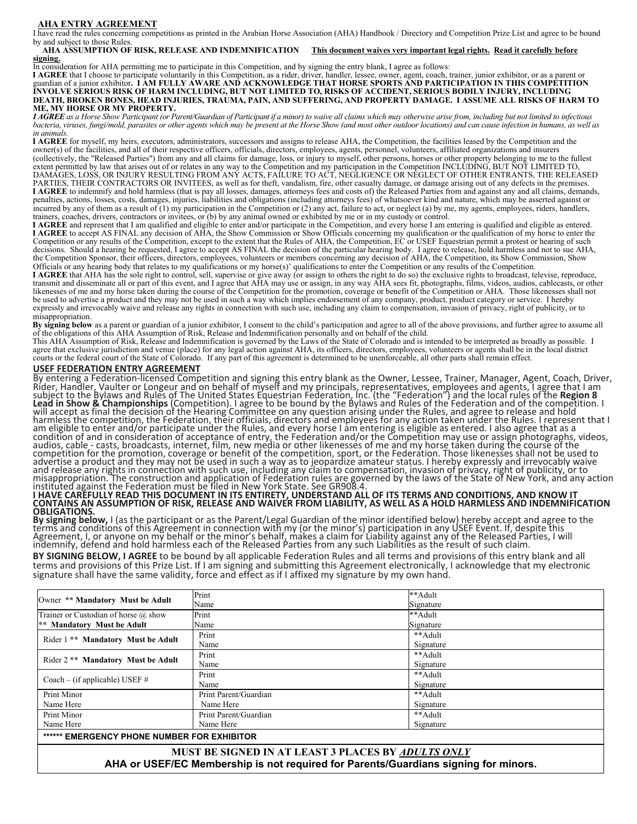#### **AHA ENTRY AGREEMENT**

I have read the rules concerning competitions as printed in the Arabian Horse Association (AHA) Handbook / Directory and Competition Prize List and agree to be bound by and subject to those Rules.

**AHA ASSUMPTION OF RISK, RELEASE AND INDEMNIFICATION This document waives very important legal rights. Read it carefully before signing.** 

In consideration for AHA permitting me to participate in this Competition, and by signing the entry blank, I agree as follows:

**I AGREE** that I choose to participate voluntarily in this Competition, as a rider, driver, handler, lessee, owner, agent, coach, trainer, junior exhibitor, or as a parent or guardian of a junior exhibitor. I AM FULLY AWAR **INVOLVE SERIOUS RISK OF HARM INCLUDING, BUT NOT LIMITED TO, RISKS OF ACCIDENT, SERIOUS BODILY INJURY, INCLUDING DEATH, BROKEN BONES, HEAD INJURIES, TRAUMA, PAIN, AND SUFFERING, AND PROPERTY DAMAGE. I ASSUME ALL RISKS OF HARM TO ME, MY HORSE OR MY PROPERTY.**

*I AGREE as a Horse Show Participant (or Parent/Guardian of Participant if a minor) to waive all claims which may otherwise arise from, including but not limited to infectious bacteria, viruses, fungi/mold, parasites or other agents which may be present at the Horse Show (and most other outdoor locations) and can cause infection in humans, as well as in animals.*

**I AGREE** for myself, my heirs, executors, administrators, successors and assigns to release AHA, the Competition, the facilities leased by the Competition and the owner(s) of the facilities, and all of their respective officers, officials, directors, employees, agents, personnel, volunteers, affiliated organizations and insurers<br>(collectively, the "Released Parties") from any and al extent permitted by law that arises out of or relates in any way to the Competition and my participation in the Competition INCLUDING, BUT NOT LIMITED TO,<br>DAMAGES, LOSS, OR INJURY RESULTING FROM ANY ACTS, FAILURE TO ACT, N PARTIES, THEIR CONTRACTORS OR INVITEES, as well as for theft, vandalism, fire, other casualty damage, or damage arising out of any defects in the premises. **I AGREE** to indemnify and hold harmless (that is pay all losses, damages, attorneys fees and costs of) the Released Parties from and against any and all claims, demands, penalties, actions, losses, costs, damages, injuries, liabilities and obligations (including attorneys fees) of whatsoever kind and nature, which may be asserted against or incurred by any of them as a result of  $(1)$  my participation in the Competition or  $(2)$  any act, failure to act, or neglect  $(a)$  by me, my agents, employees, riders, handlers, trainers, coaches, drivers, contractors or invitees, or (b) by any animal owned or exhibited by me or in my custody or control.

**I AGREE** and represent that I am qualified and eligible to enter and/or participate in the Competition, and every horse I am entering is qualified and eligible as entered. **I AGREE** to accept AS FINAL any decision of AHA, the Show Commission or Show Officials concerning my qualification or the qualification of my horse to enter the Competition or any results of the Competition, except to the extent that the Rules of AHA, the Competition, EC or USEF Equestrian permit a protest or hearing of such decisions. Should a hearing be requested, I agree to accept AS FINAL the decision of the particular hearing body. I agree to release, hold harmless and not to sue AHA,<br>the Competition Sponsor, their officers, directors, em Officials or any hearing body that relates to my qualifications or my horse(s)' qualifications to enter the Competition or any results of the Competition.

I AGREE that AHA has the sole right to control, sell, supervise or give away (or assign to others the right to do so) the exclusive rights to broadcast, televise, reproduce, renoduce, transmit and disseminate all or part o likenesses of me and my horse taken during the course of the Competition for the promotion, coverage or benefit of the Competition or AHA. Those likenesses shall not be used to advertise a product and they may not be used in such a way which implies endorsement of any company, product, product category or service. I hereby expressly and irrevocably waive and release any rights in connection with such use, including any claim to compensation, invasion of privacy, right of publicity, or to misappropriation.

By signing below as a parent or guardian of a junior exhibitor, I consent to the child's participation and agree to all of the above provisions, and further agree to assume all of the obligations of this AHA Assumption of

This AHA Assumption of Risk, Release and Indemnification is governed by the Laws of the State of Colorado and is intended to be interpreted as broadly as possible. I agree that exclusive jurisdiction and venue (place) for any legal action against AHA, its officers, directors, employees, volunteers or agents shall be in the local district courts or the federal court of the State of Colo

### **USEF FEDERATION ENTRY AGREEMENT**

By entering a Federation-licensed Competition and signing this entry blank as the Owner, Lessee, Trainer, Manager, Agent, Coach, Driver,<br>Rider, Handler, Vaulter or Longeur and on behalf of myself and my principals, represe subject to the Bylaws and Rules of The United States Equestrian Federation, Inc. (the "Federation") and the local rules of the **Region 8**<br>Lead in Show & Championships (Competition). I agree to be bound by the Bylaws and Ru harmless the competition, the Federation, their officials, directors and employees for any action taken under the Rules. I represent that I<br>am eligible to enter and/or participate under the Rules, and every horse I am ente condition of and in consideration of acceptance of entry, the Federation and/or the Competition may use or assign photographs, videos,<br>audios, cable - casts, broadcasts, internet, film, new media or other likenesses of me advertise a product and they may not be used in such a way as to jeopardize amateur status. I hereby expressly and irrevocably waive<br>and release any rights in connection with such use, including any claim to compensation,

# I HAVE CARÉFULLY READ THIS DOCUMENT IN ITS ENTIRETY, UNDERSTAND ALL OF ITS TERMS AND CONDITIONS, AND KNOW IT<br>CONTAINS AN ASSUMPTION OF RISK, RELEASE AND WAIVER FROM LIABILITY, AS WELL AS A HOLD HARMLESS AND INDEMNIFICATION **OBLIGATIONS.**

**By signing below,** I (as the participant or as the Parent/Legal Guardian of the minor identified below) hereby accept and agree to the<br>terms and conditions of this Agreement in connection with my (or the minor's) particip

**BY SIGNING BELOW, I AGREE** to be bound by all applicable Federation Rules and all terms and provisions of this entry blank and all terms and provisions of this Prize List. If I am signing and submitting this Agreement electronically, I acknowledge that my electronic signature shall have the same validity, force and effect as if I affixed my signature by my own hand.

| Owner ** Mandatory Must be Adult                          | Print                 | **Adult   |  |  |
|-----------------------------------------------------------|-----------------------|-----------|--|--|
|                                                           | Name                  | Signature |  |  |
| Trainer or Custodian of horse @ show                      | Print                 | **Adult   |  |  |
| ** Mandatory Must be Adult                                | Name                  | Signature |  |  |
| Rider 1 ** Mandatory Must be Adult                        | Print                 | **Adult   |  |  |
|                                                           | Name                  | Signature |  |  |
| Rider 2 <sup>**</sup> Mandatory Must be Adult             | Print                 | **Adult   |  |  |
|                                                           | Name                  | Signature |  |  |
| Coach – (if applicable) USEF $#$                          | Print                 | **Adult   |  |  |
|                                                           | Name                  | Signature |  |  |
| Print Minor                                               | Print Parent/Guardian | **Adult   |  |  |
| Name Here                                                 | Name Here             | Signature |  |  |
| Print Minor                                               | Print Parent/Guardian | **Adult   |  |  |
| Name Here<br>Name Here                                    |                       | Signature |  |  |
| ****** EMERGENCY PHONE NUMBER FOR EXHIBITOR               |                       |           |  |  |
| MHST RE SIGNED IN AT LEAST 3 PLACES BY <i>ADULTS ONLY</i> |                       |           |  |  |

**MUST BE SIGNED IN AT LEAST 3 PLACES BY** *ADULTS ONLY* **AHA or USEF/EC Membership is not required for Parents/Guardians signing for minors.**